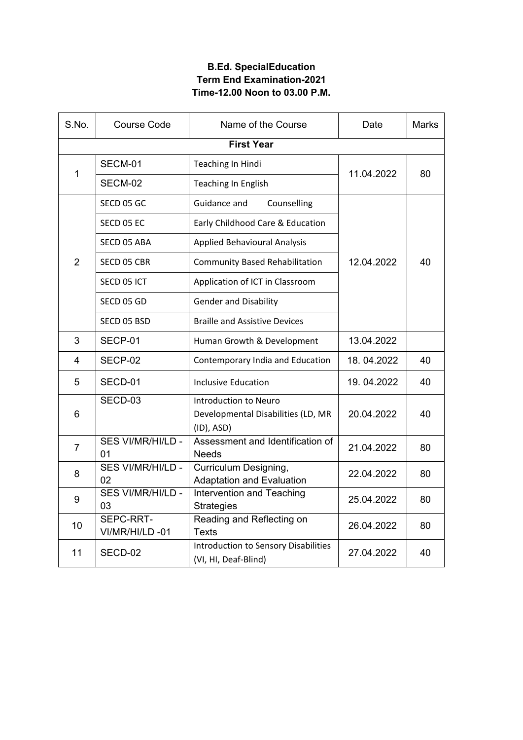## **B.Ed. SpecialEducation Term End Examination-2021 Time-12.00 Noon to 03.00 P.M.**

| S.No.             | <b>Course Code</b>             | Name of the Course                                                        | Date       | <b>Marks</b> |  |  |  |
|-------------------|--------------------------------|---------------------------------------------------------------------------|------------|--------------|--|--|--|
| <b>First Year</b> |                                |                                                                           |            |              |  |  |  |
| 1                 | SECM-01                        | Teaching In Hindi                                                         |            | 80           |  |  |  |
|                   | SECM-02                        | <b>Teaching In English</b>                                                | 11.04.2022 |              |  |  |  |
| $\overline{2}$    | SECD 05 GC                     | Guidance and<br>Counselling                                               |            |              |  |  |  |
|                   | SECD 05 EC                     | Early Childhood Care & Education                                          |            | 40           |  |  |  |
|                   | SECD 05 ABA                    | <b>Applied Behavioural Analysis</b>                                       |            |              |  |  |  |
|                   | SECD 05 CBR                    | <b>Community Based Rehabilitation</b>                                     | 12.04.2022 |              |  |  |  |
|                   | SECD 05 ICT                    | Application of ICT in Classroom                                           |            |              |  |  |  |
|                   | SECD 05 GD                     | <b>Gender and Disability</b>                                              |            |              |  |  |  |
|                   | SECD 05 BSD                    | <b>Braille and Assistive Devices</b>                                      |            |              |  |  |  |
| 3                 | SECP-01                        | Human Growth & Development                                                | 13.04.2022 |              |  |  |  |
| 4                 | SECP-02                        | Contemporary India and Education                                          | 18.04.2022 | 40           |  |  |  |
| 5                 | SECD-01                        | <b>Inclusive Education</b>                                                | 19.04.2022 | 40           |  |  |  |
| 6                 | SECD-03                        | Introduction to Neuro<br>Developmental Disabilities (LD, MR<br>(ID), ASD) |            | 40           |  |  |  |
| $\overline{7}$    | <b>SES VI/MR/HI/LD -</b><br>01 | Assessment and Identification of<br><b>Needs</b>                          | 21.04.2022 | 80           |  |  |  |
| 8                 | SES VI/MR/HI/LD -<br>02        | Curriculum Designing,<br><b>Adaptation and Evaluation</b>                 | 22.04.2022 | 80           |  |  |  |
| 9                 | SES VI/MR/HI/LD -<br>03        | Intervention and Teaching<br><b>Strategies</b>                            | 25.04.2022 | 80           |  |  |  |
| 10                | SEPC-RRT-<br>VI/MR/HI/LD-01    | Reading and Reflecting on<br><b>Texts</b>                                 | 26.04.2022 | 80           |  |  |  |
| 11                | SECD-02                        | <b>Introduction to Sensory Disabilities</b><br>(VI, HI, Deaf-Blind)       | 27.04.2022 | 40           |  |  |  |